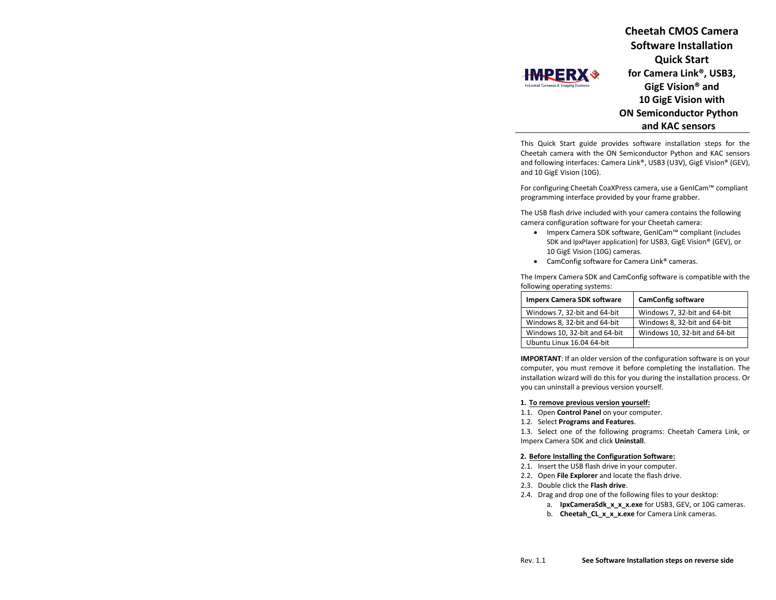**Cheetah CMOS Camera Software Installation Quick Start for Camera Link®, USB3, GigE Vision® and 10 GigE Vision with ON Semiconductor Python and KAC sensors**

This Quick Start guide provides software installation steps for the Cheetah camera with the ON Semiconductor Python and KAC sensors and following interfaces: Camera Link®, USB3 (U3V), GigE Vision® (GEV), and 10 GigE Vision (10G).

For configuring Cheetah CoaXPress camera, use a GenICam™ compliant programming interface provided by your frame grabber.

The USB flash drive included with your camera contains the following camera configuration software for your Cheetah camera:

- Imperx Camera SDK software, GenICam™ compliant (includes SDK and IpxPlayer application) for USB3, GigE Vision® (GEV), or 10 GigE Vision (10G) cameras.
- CamConfig software for Camera Link® cameras.

The Imperx Camera SDK and CamConfig software is compatible with the following operating systems:

| <b>Imperx Camera SDK software</b> | <b>CamConfig software</b>     |
|-----------------------------------|-------------------------------|
| Windows 7, 32-bit and 64-bit      | Windows 7, 32-bit and 64-bit  |
| Windows 8, 32-bit and 64-bit      | Windows 8, 32-bit and 64-bit  |
| Windows 10, 32-bit and 64-bit     | Windows 10, 32-bit and 64-bit |
| Ubuntu Linux 16.04 64-bit         |                               |

**IMPORTANT**: If an older version of the configuration software is on your computer, you must remove it before completing the installation. The installation wizard will do this for you during the installation process. Or you can uninstall a previous version yourself.

#### **1. To remove previous version yourself:**

- 1.1. Open **Control Panel** on your computer.
- 1.2. Select **Programs and Features**.

**HMPERX\*** 

1.3. Select one of the following programs: Cheetah Camera Link, or Imperx Camera SDK and click **Uninstall**.

### **2. Before Installing the Configuration Software:**

- 2.1. Insert the USB flash drive in your computer.
- 2.2. Open **File Explorer** and locate the flash drive.
- 2.3. Double click the **Flash drive**.
- 2.4. Drag and drop one of the following files to your desktop:
	- a. **IpxCameraSdk x x x.exe** for USB3, GEV, or 10G cameras.
	- b. **Cheetah\_CL\_x\_x\_x.exe** for Camera Link cameras.